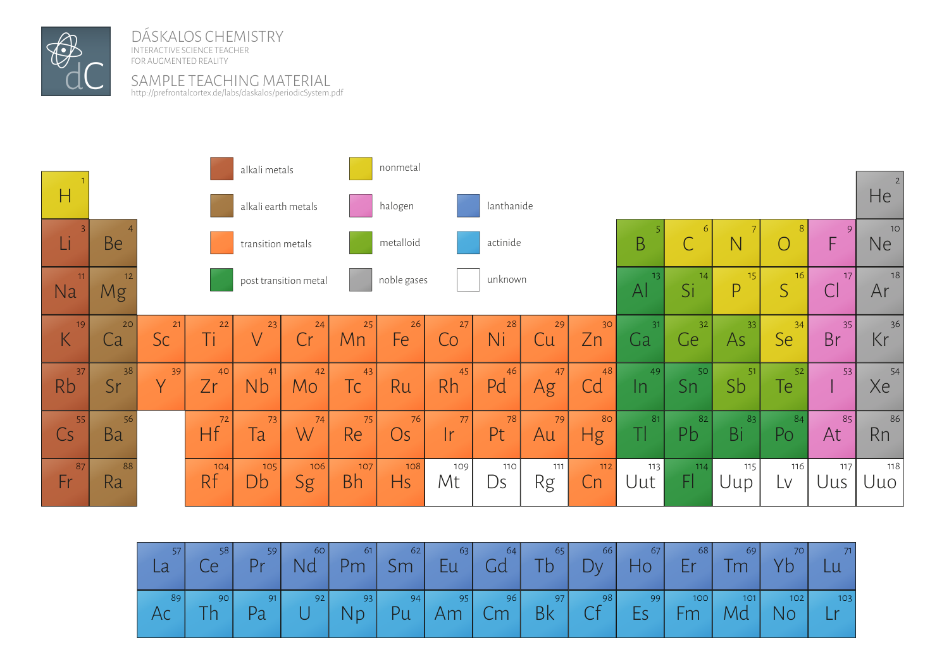

DÁSKALOS CHEMISTRY INTERACTIVE SCIENCE TEACHER FOR AUGMENTED REALITY

SAMPLE TEACHING MATERIAI http://prefrontalcortex.de/labs/daskalos/periodicSystem.pdf



| 57<br>La | 58<br>Ce  | 59<br>$Pr$ | 60<br>Nd | 61         | 62<br>  Pm   Sm | 63<br>Eu                                                                            | 64<br>Gd | $65$ $\overline{7}$<br>Tb \ | 66<br>Dy | 67<br>$H_0$ | 68<br>$Er$ | 69<br>Tm                | 70  <br>Yb | 71                 |
|----------|-----------|------------|----------|------------|-----------------|-------------------------------------------------------------------------------------|----------|-----------------------------|----------|-------------|------------|-------------------------|------------|--------------------|
| 89       | 90<br>Th. | 91<br>Pa   | 92       | 93<br>  Np |                 | $\begin{array}{ c c c c c c } \hline \quad & 94 & 95 \end{array}$<br>$Pu$   Am   Cm | 96       | 97<br>Bk                    | 98<br>Cf | 99<br>Es    | 100<br>Fm  | 101<br>$\mid$ Md $\mid$ | 102<br>No  | $103$<br><b>Lr</b> |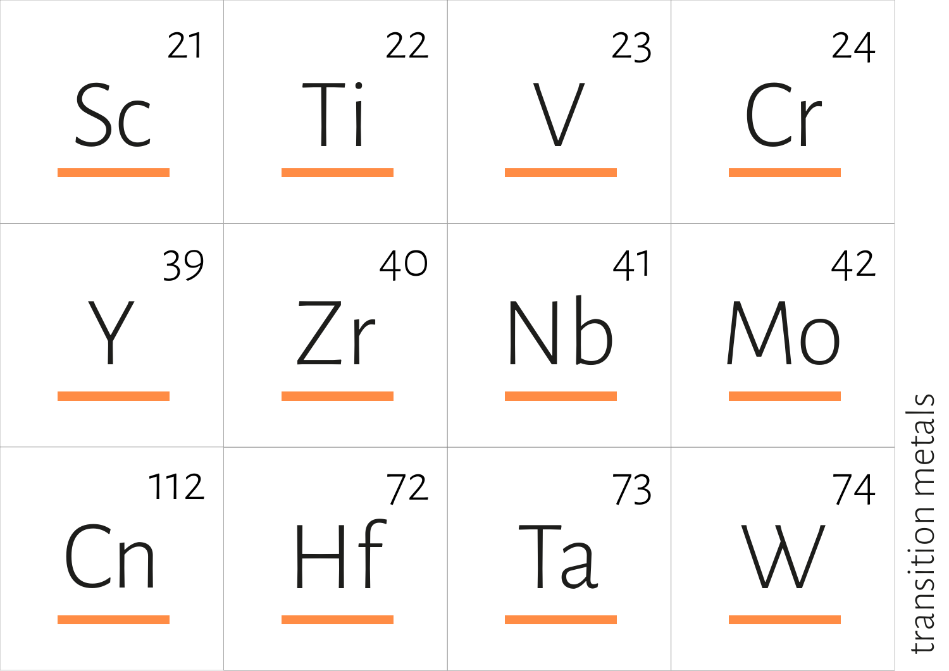

transition metals transition metals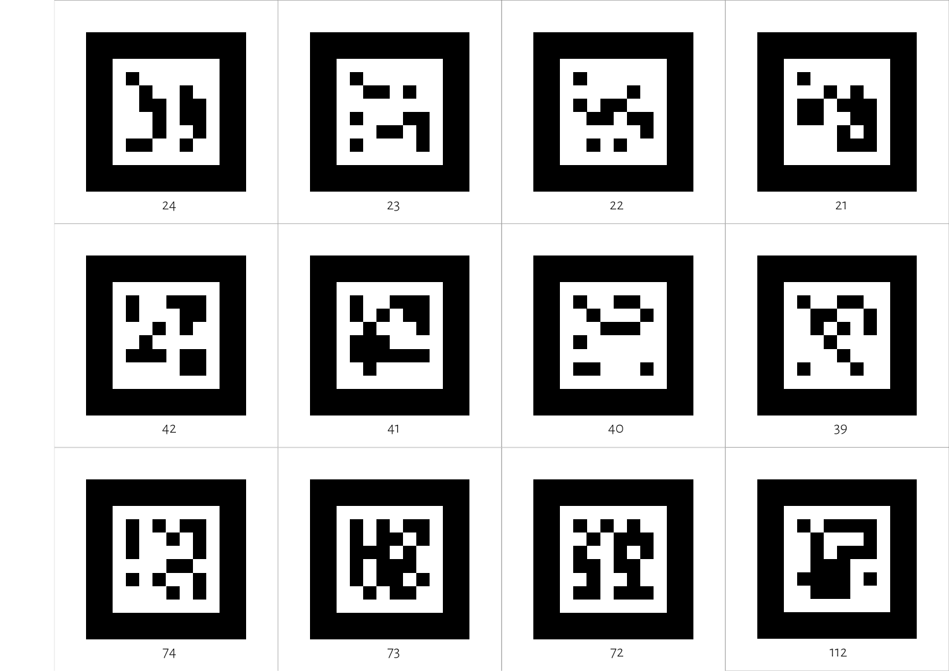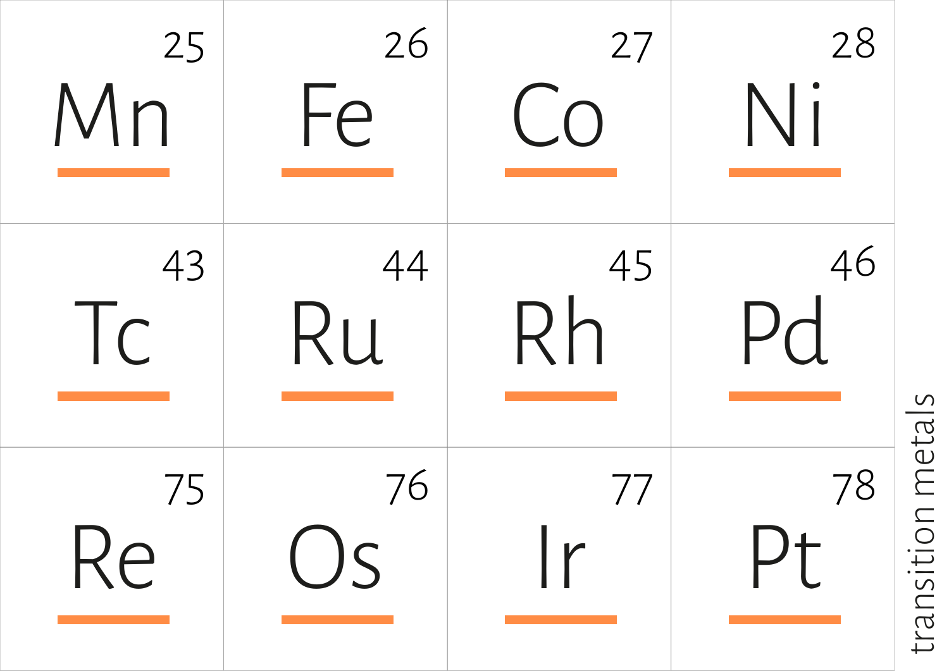

transition metals transition metals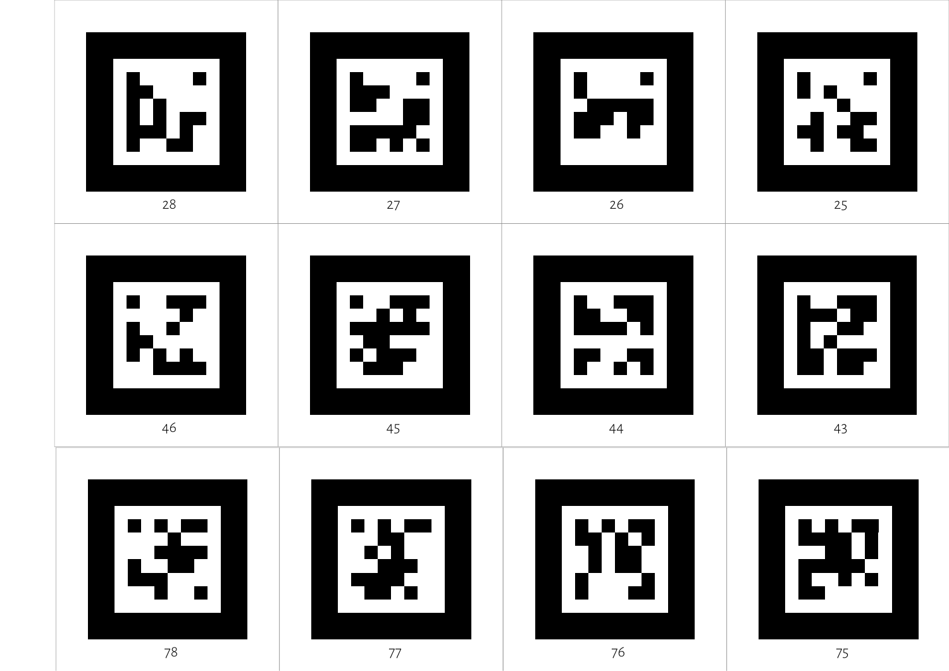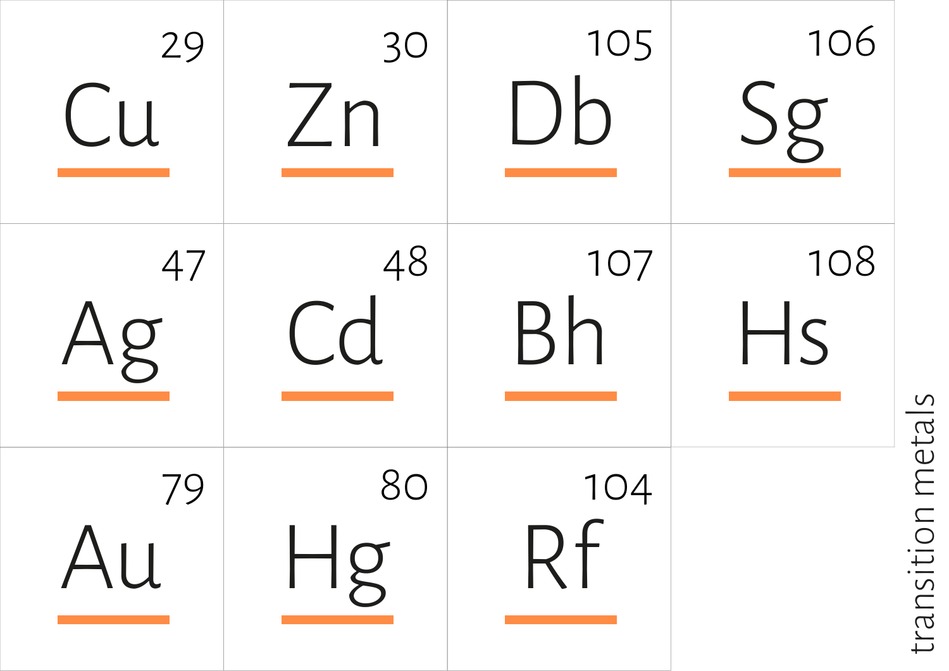

transition metals transition metals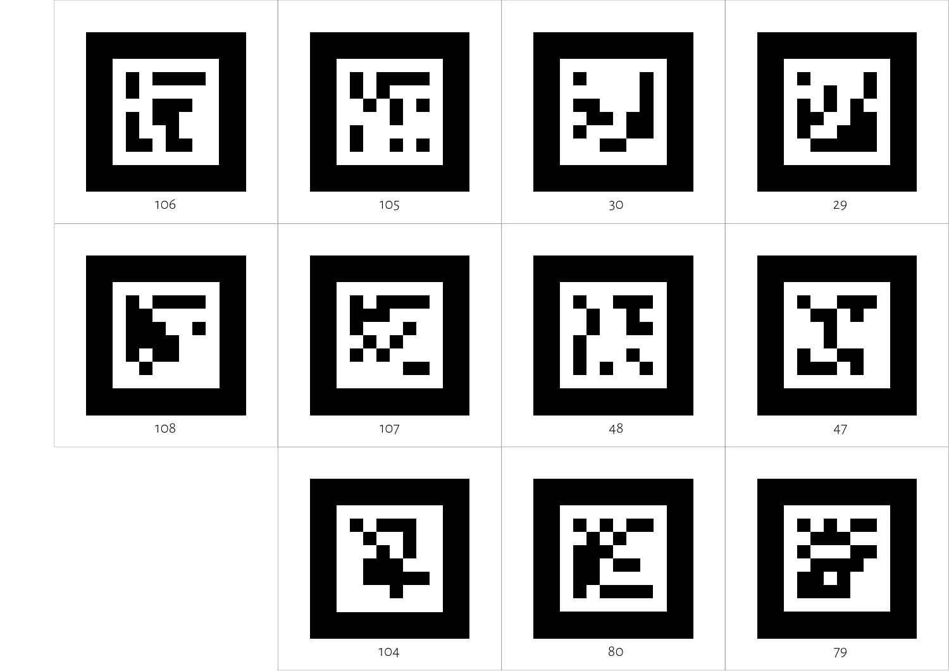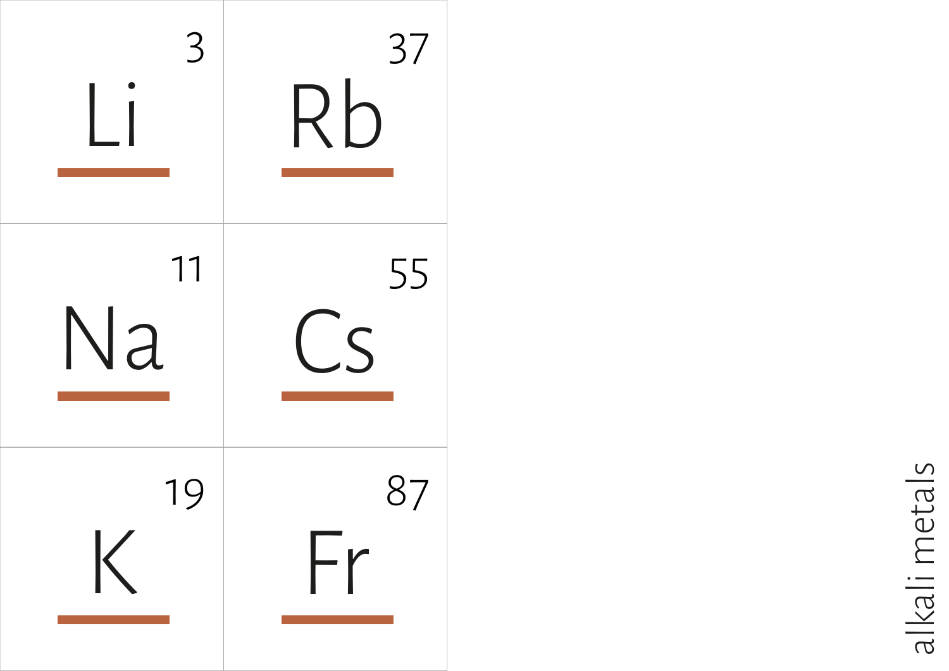

alkali metals alkali metals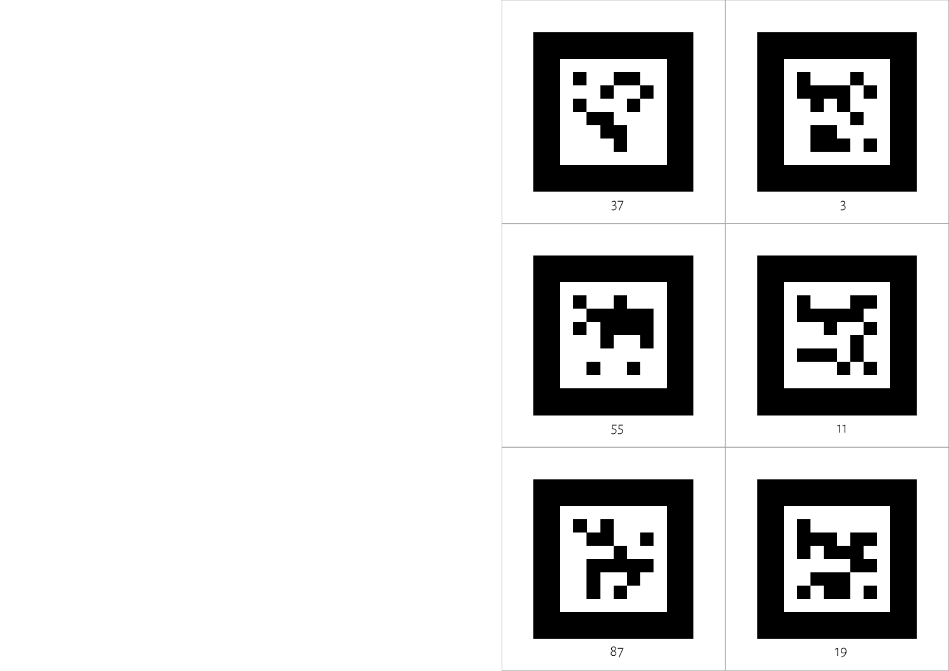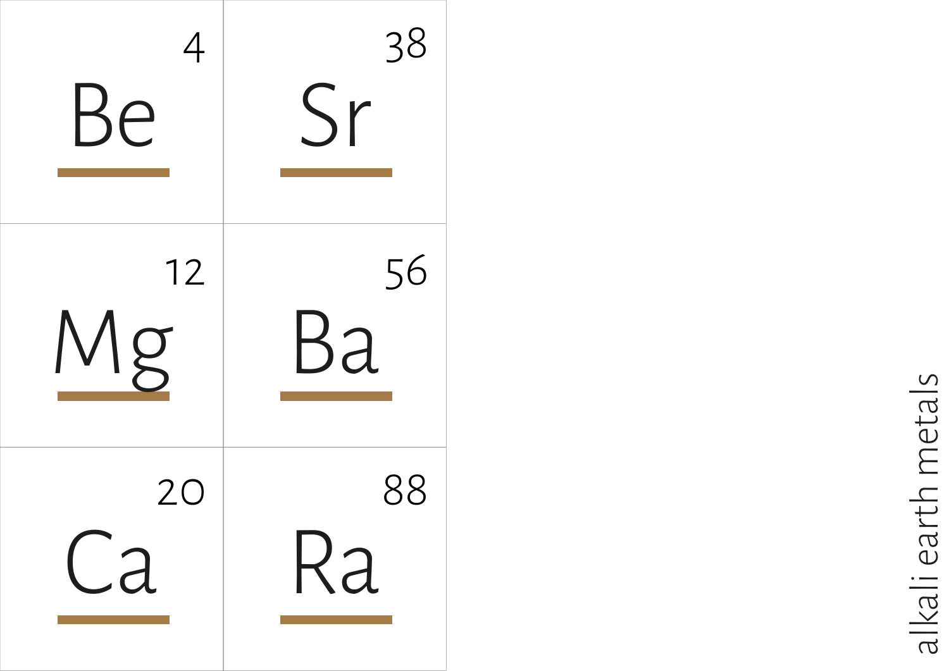

alkali earth metals alkali earth metals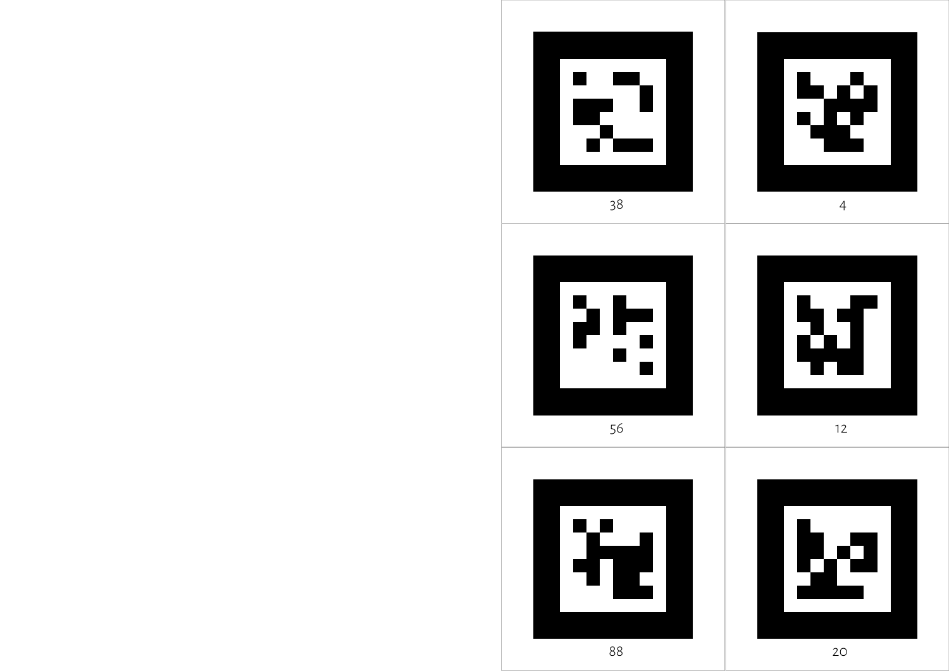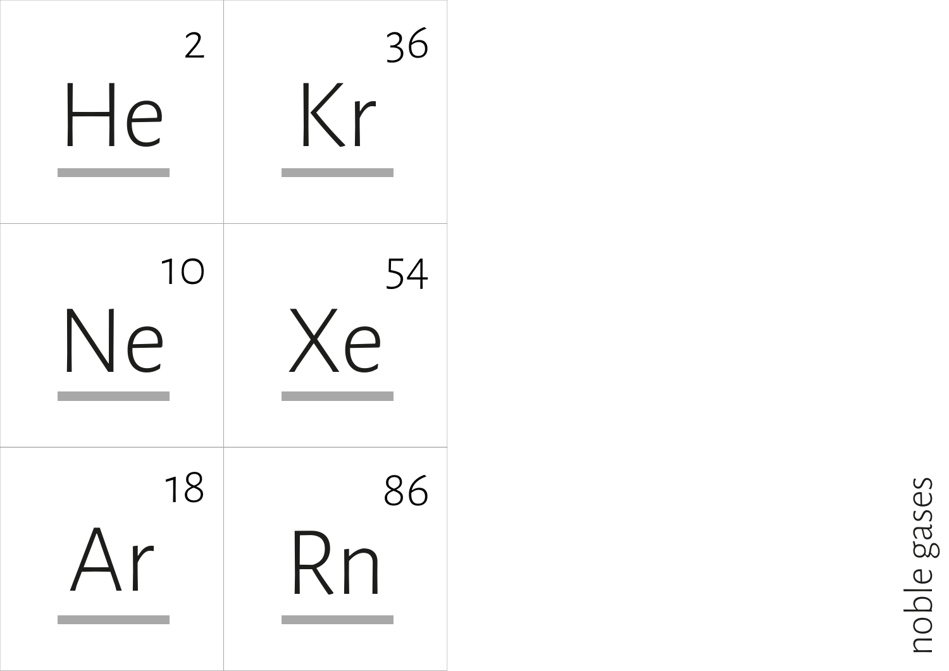

noble gases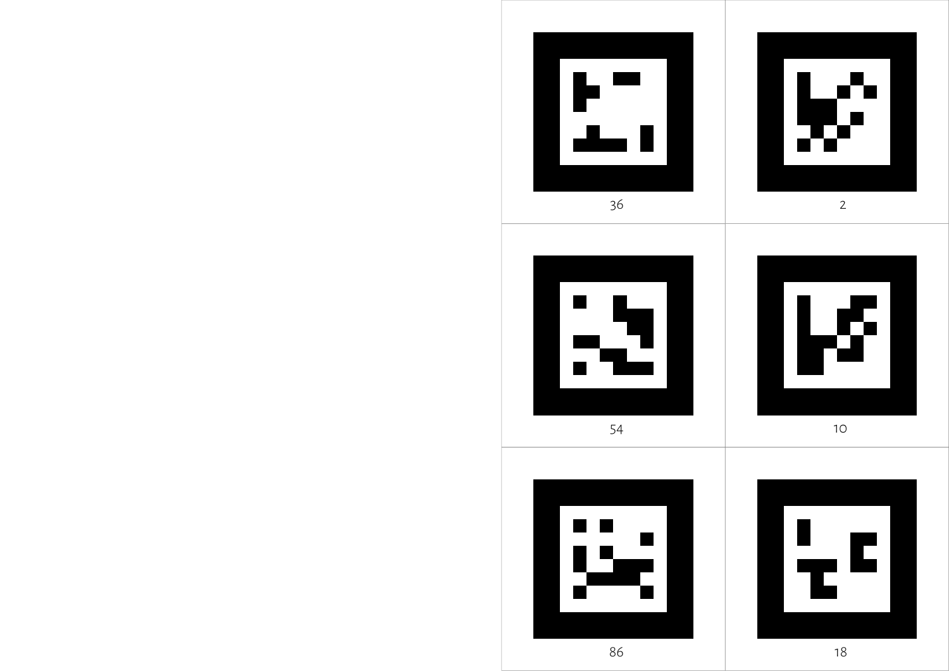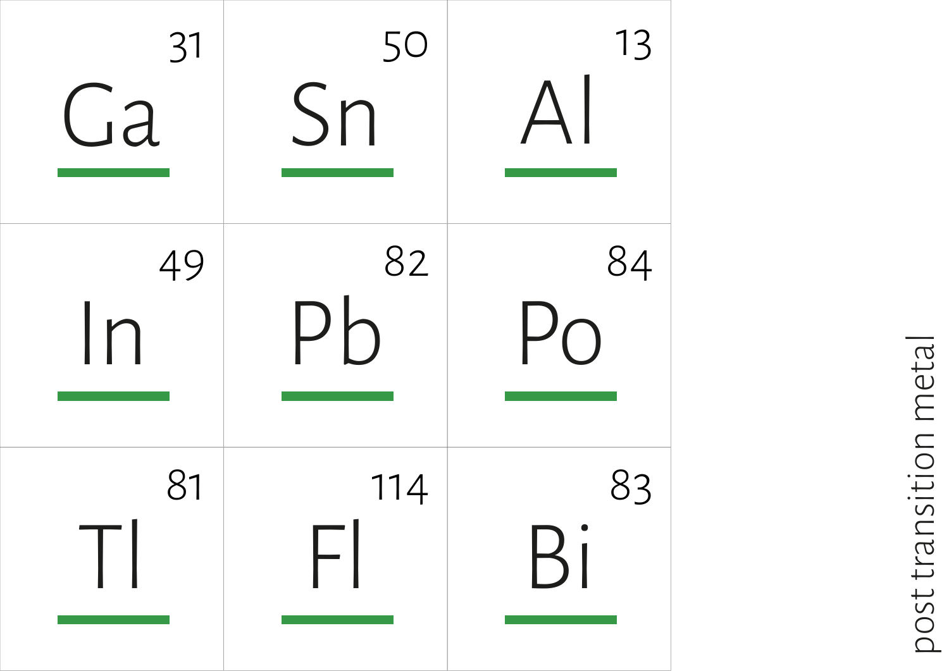

post transition metal post transition metal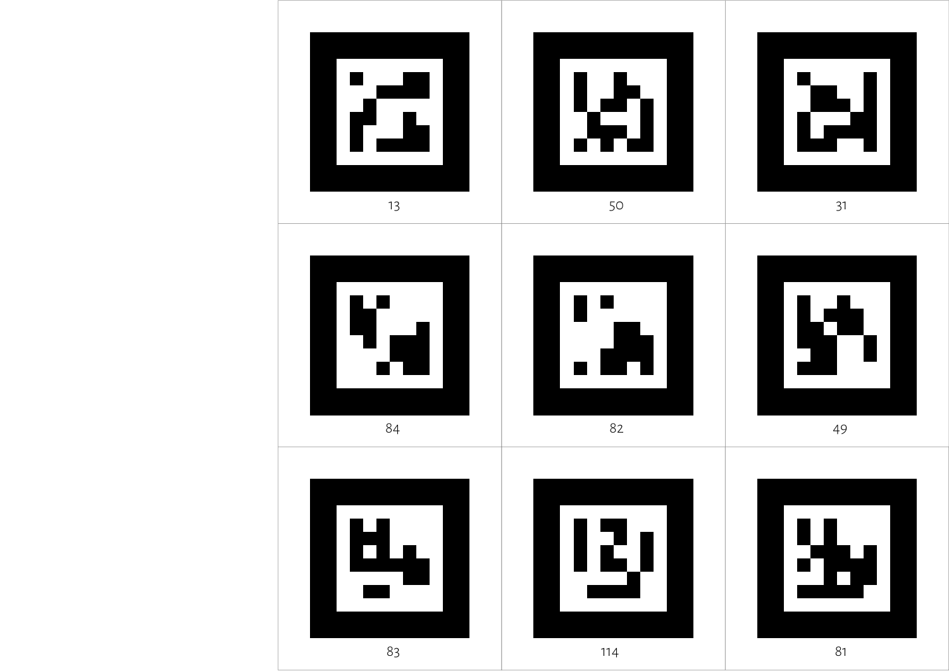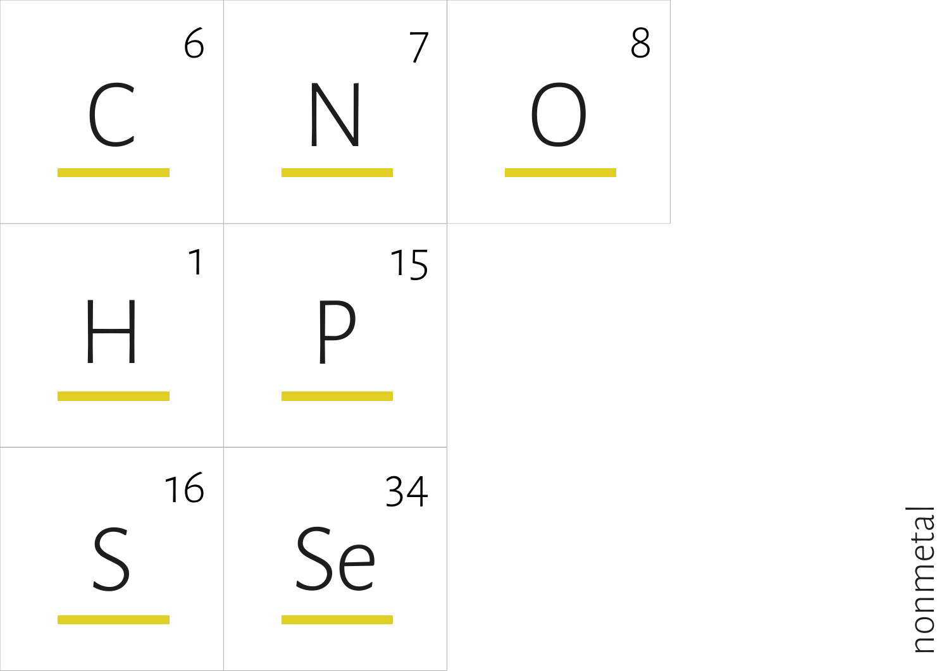

nonmetal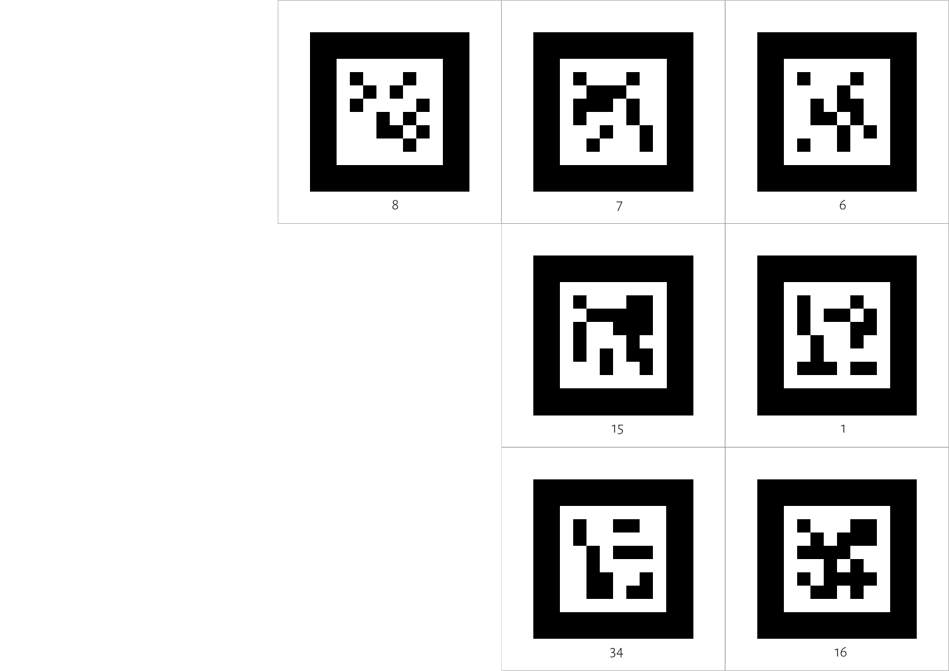













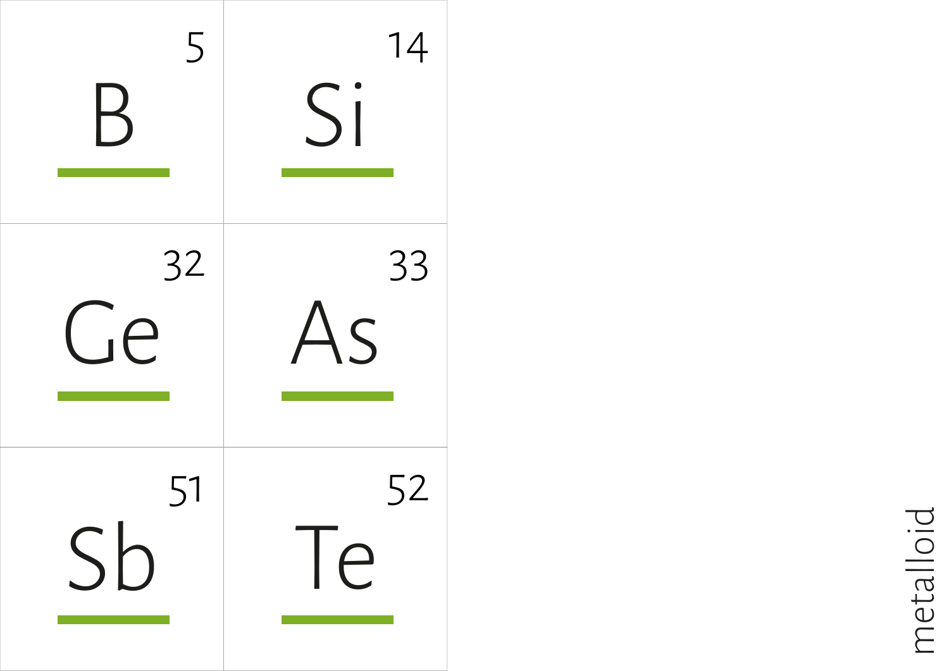

metalloid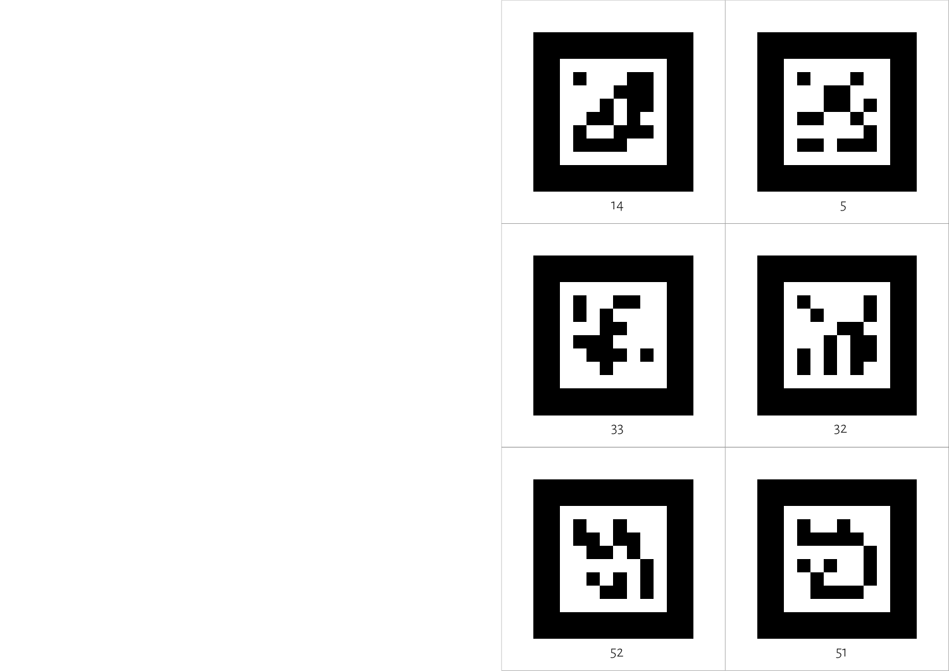



 $\overline{\phantom{a}}$  m





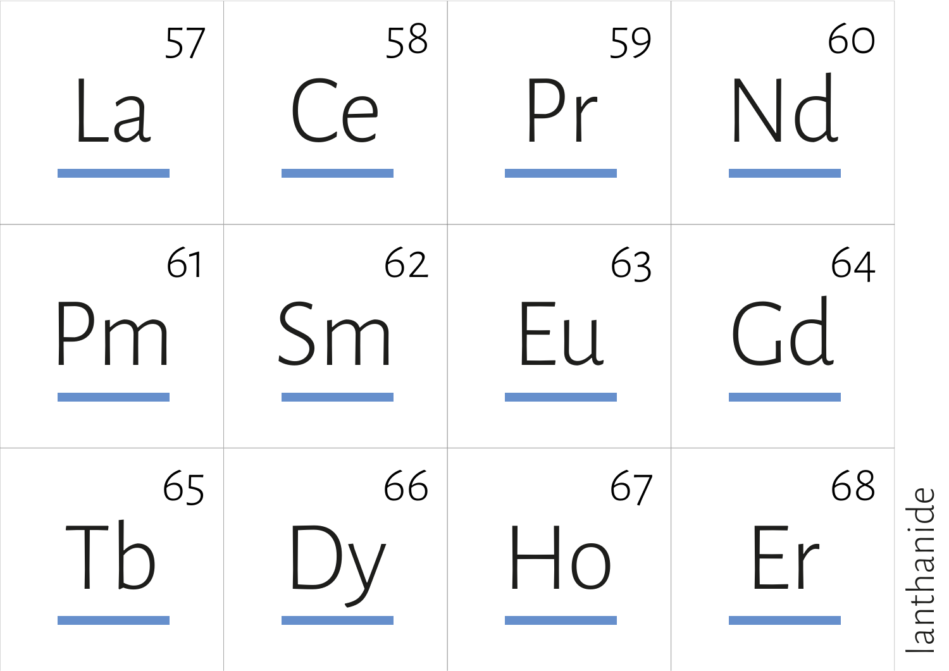

anthanide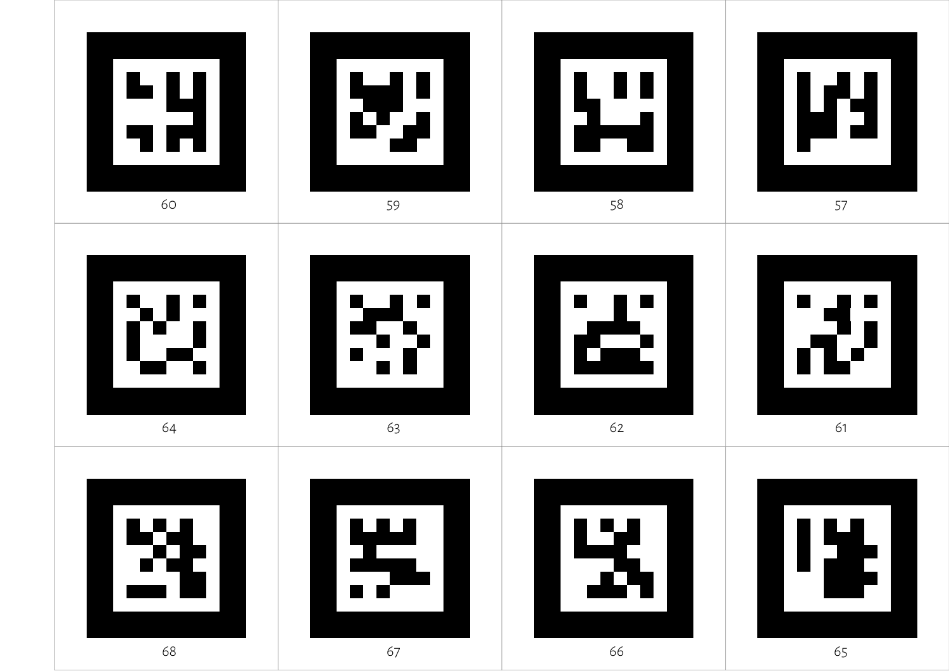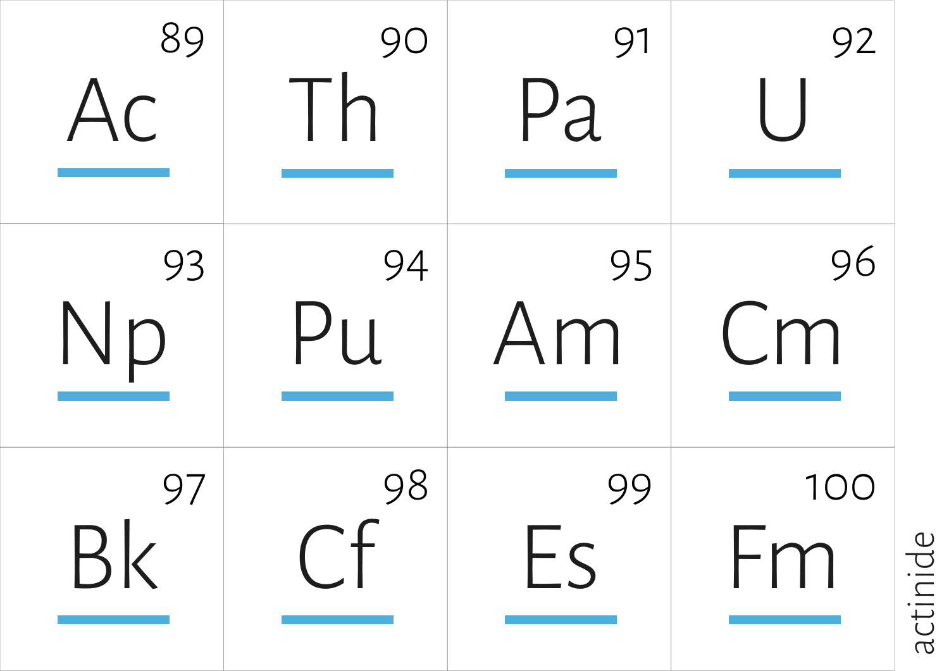

actinide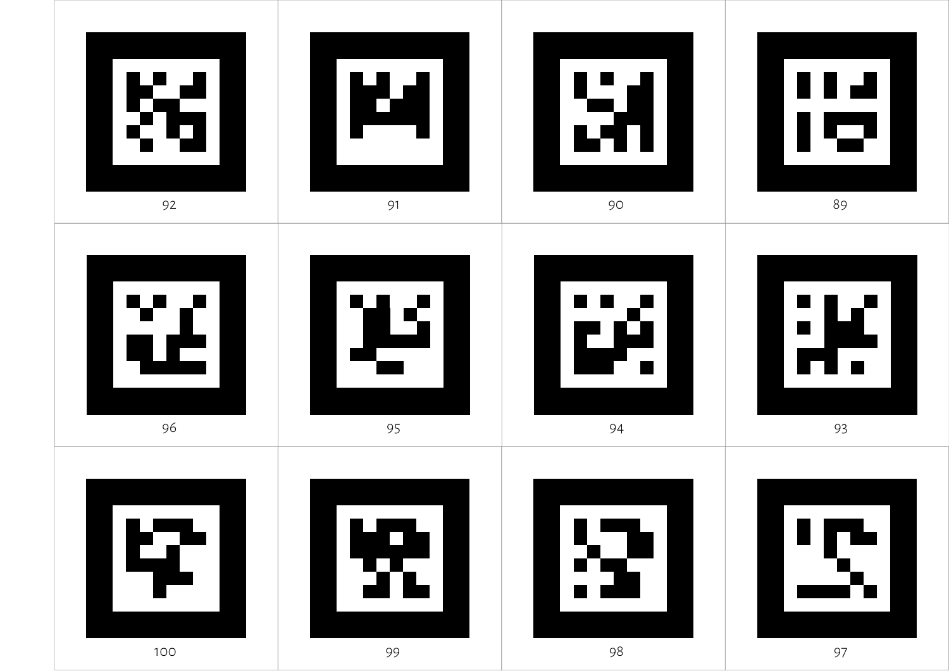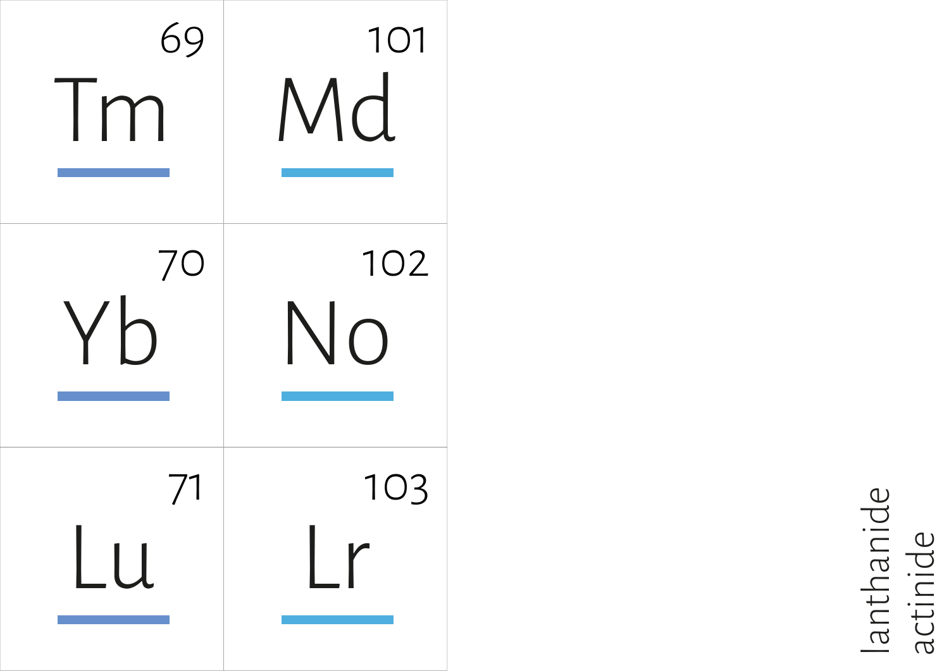

lanthanide<br>actinide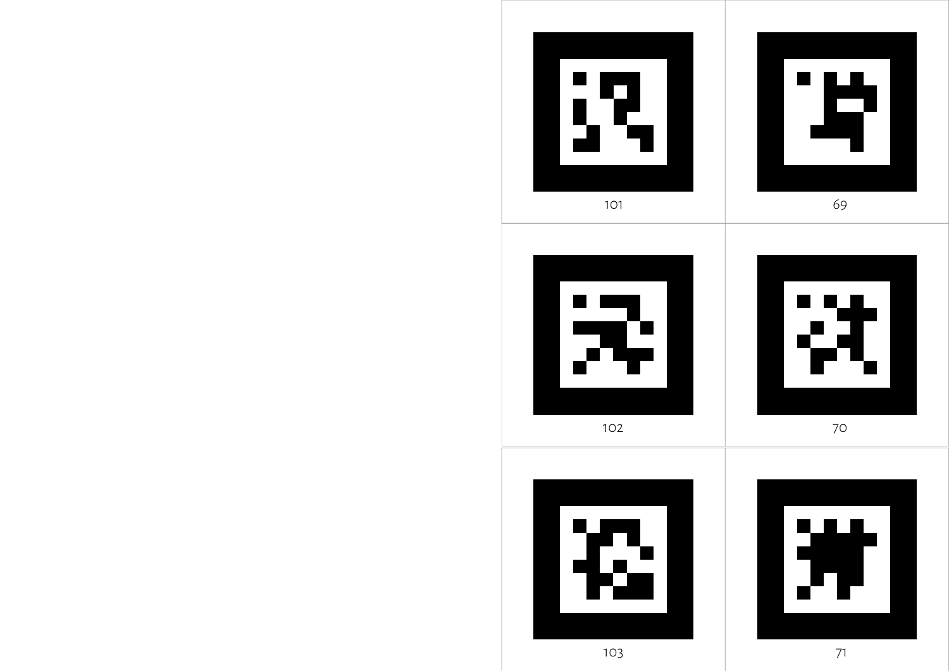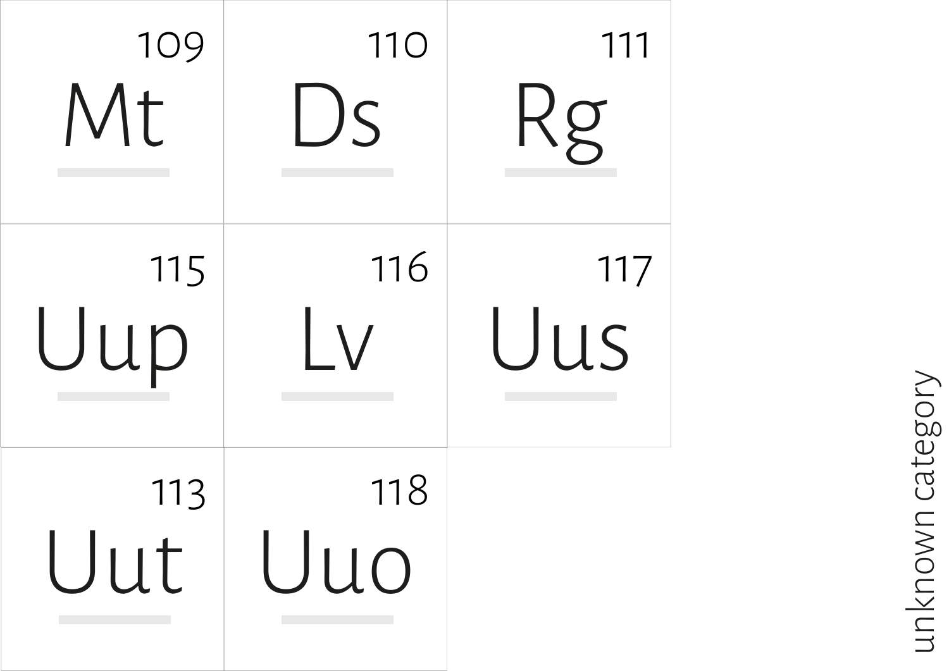| 109<br>Mt  | <b>110</b><br><u>DS</u> | 111<br>KQ  |
|------------|-------------------------|------------|
| 115<br>Uup | 116                     | 117<br>Uus |
| 113<br>Uut | 118<br>Uuo              |            |

## unknown category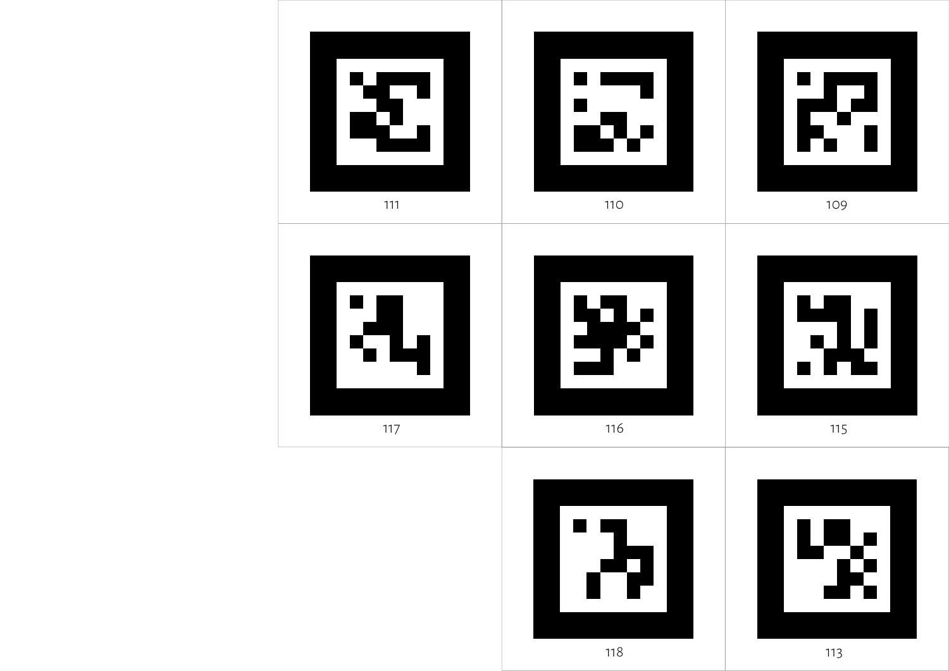



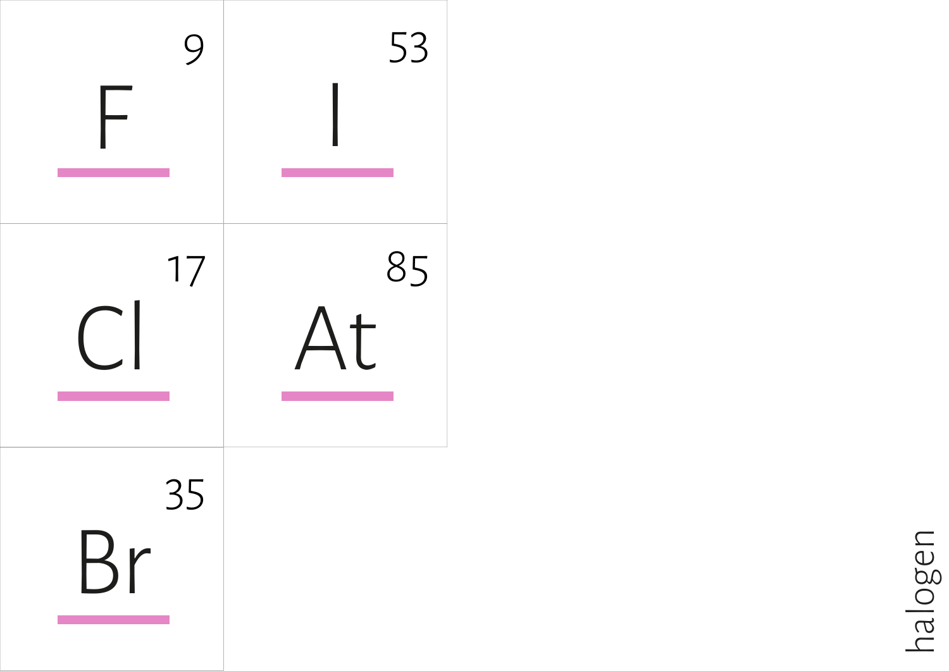

halogen